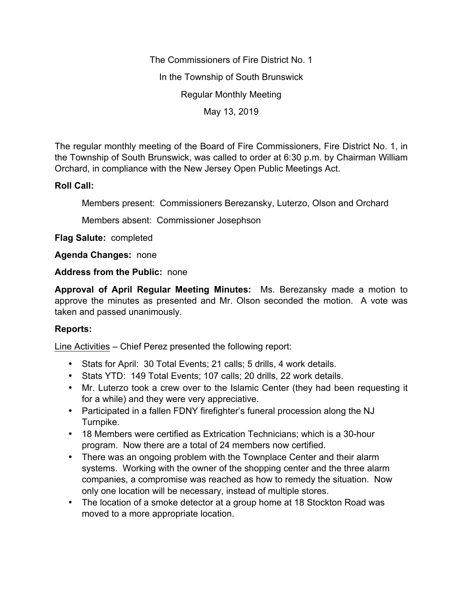The Commissioners of Fire District No. 1 In the Township of South Brunswick Regular Monthly Meeting May 13, 2019

The regular monthly meeting of the Board of Fire Commissioners, Fire District No. 1, in the Township of South Brunswick, was called to order at 6:30 p.m. by Chairman William Orchard, in compliance with the New Jersey Open Public Meetings Act.

## **Roll Call:**

Members present: Commissioners Berezansky, Luterzo, Olson and Orchard

Members absent: Commissioner Josephson

**Flag Salute:** completed

**Agenda Changes:** none

**Address from the Public:** none

**Approval of April Regular Meeting Minutes:** Ms. Berezansky made a motion to approve the minutes as presented and Mr. Olson seconded the motion. A vote was taken and passed unanimously.

## **Reports:**

Line Activities – Chief Perez presented the following report:

- Stats for April: 30 Total Events; 21 calls; 5 drills, 4 work details.
- Stats YTD: 149 Total Events; 107 calls; 20 drills, 22 work details.
- Mr. Luterzo took a crew over to the Islamic Center (they had been requesting it for a while) and they were very appreciative.
- Participated in a fallen FDNY firefighter's funeral procession along the NJ Turnpike.
- 18 Members were certified as Extrication Technicians; which is a 30-hour program. Now there are a total of 24 members now certified.
- There was an ongoing problem with the Townplace Center and their alarm systems. Working with the owner of the shopping center and the three alarm companies, a compromise was reached as how to remedy the situation. Now only one location will be necessary, instead of multiple stores.
- The location of a smoke detector at a group home at 18 Stockton Road was moved to a more appropriate location.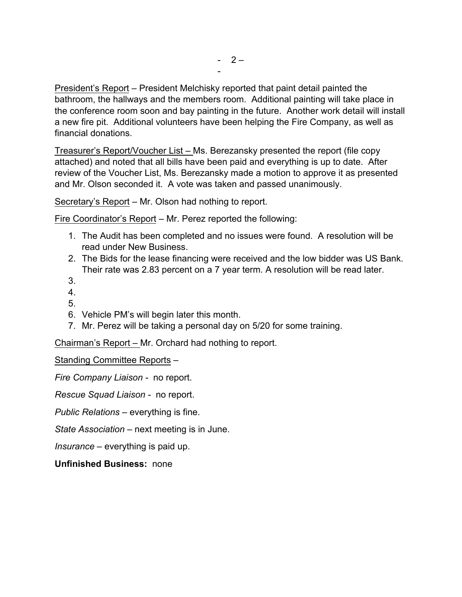President's Report – President Melchisky reported that paint detail painted the bathroom, the hallways and the members room. Additional painting will take place in the conference room soon and bay painting in the future. Another work detail will install a new fire pit. Additional volunteers have been helping the Fire Company, as well as financial donations.

Treasurer's Report/Voucher List – Ms. Berezansky presented the report (file copy attached) and noted that all bills have been paid and everything is up to date. After review of the Voucher List, Ms. Berezansky made a motion to approve it as presented and Mr. Olson seconded it. A vote was taken and passed unanimously.

Secretary's Report – Mr. Olson had nothing to report.

Fire Coordinator's Report – Mr. Perez reported the following:

- 1. The Audit has been completed and no issues were found. A resolution will be read under New Business.
- 2. The Bids for the lease financing were received and the low bidder was US Bank. Their rate was 2.83 percent on a 7 year term. A resolution will be read later.
- 3.
- 4.
- 5.
- 6. Vehicle PM's will begin later this month.
- 7. Mr. Perez will be taking a personal day on 5/20 for some training.

Chairman's Report – Mr. Orchard had nothing to report.

Standing Committee Reports –

*Fire Company Liaison -* no report.

*Rescue Squad Liaison -* no report.

*Public Relations –* everything is fine.

*State Association –* next meeting is in June.

*Insurance –* everything is paid up.

**Unfinished Business:** none